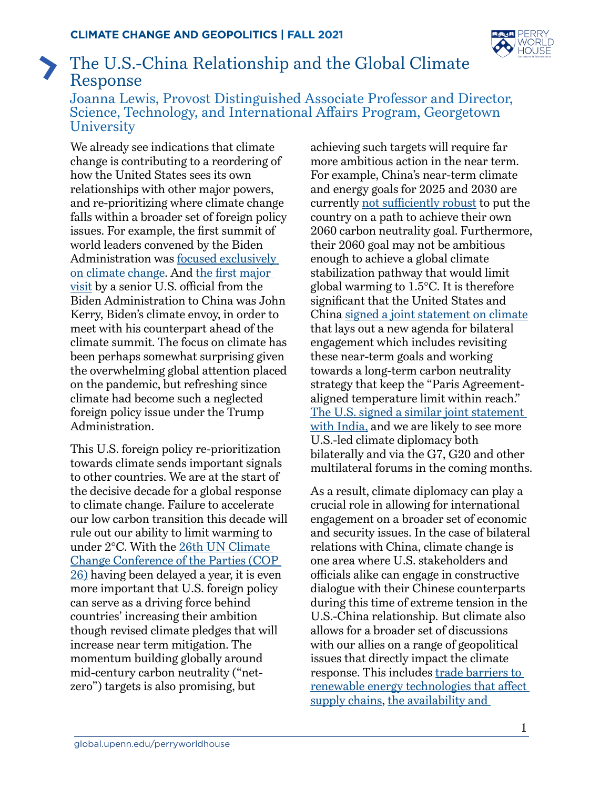

## The U.S.-China Relationship and the Global Climate  $\sum_{i=1}^{n}$ Response

Joanna Lewis, Provost Distinguished Associate Professor and Director, Science, Technology, and International Affairs Program, Georgetown **University** 

We already see indications that climate change is contributing to a reordering of how the United States sees its own relationships with other major powers, and re-prioritizing where climate change falls within a broader set of foreign policy issues. For example, the first summit of world leaders convened by the Biden Administration was [focused exclusively](https://www.state.gov/leaders-summit-on-climate/)  [on climate change.](https://www.state.gov/leaders-summit-on-climate/) And [the first major](https://www.nytimes.com/2021/04/13/us/politics/john-kerry-china-climate-biden.html)  [visit](https://www.nytimes.com/2021/04/13/us/politics/john-kerry-china-climate-biden.html) by a senior U.S. official from the Biden Administration to China was John Kerry, Biden's climate envoy, in order to meet with his counterpart ahead of the climate summit. The focus on climate has been perhaps somewhat surprising given the overwhelming global attention placed on the pandemic, but refreshing since climate had become such a neglected foreign policy issue under the Trump Administration.

This U.S. foreign policy re-prioritization towards climate sends important signals to other countries. We are at the start of the decisive decade for a global response to climate change. Failure to accelerate our low carbon transition this decade will rule out our ability to limit warming to under 2°C. With the [26th UN Climate](https://ukcop26.org/)  [Change Conference of the Parties \(COP](https://ukcop26.org/)  [26\)](https://ukcop26.org/) having been delayed a year, it is even more important that U.S. foreign policy can serve as a driving force behind countries' increasing their ambition though revised climate pledges that will increase near term mitigation. The momentum building globally around mid-century carbon neutrality ("netzero") targets is also promising, but

achieving such targets will require far more ambitious action in the near term. For example, China's near-term climate and energy goals for 2025 and 2030 are currently [not sufficiently robust](https://www.washingtonpost.com/politics/2021/04/22/does-us-china-climate-statement-mean-real-cooperation-ahead/) to put the country on a path to achieve their own 2060 carbon neutrality goal. Furthermore, their 2060 goal may not be ambitious enough to achieve a global climate stabilization pathway that would limit global warming to 1.5°C. It is therefore significant that the United States and China [signed a joint statement on climate](https://www.state.gov/u-s-china-joint-statement-addressing-the-climate-crisis/) that lays out a new agenda for bilateral engagement which includes revisiting these near-term goals and working towards a long-term carbon neutrality strategy that keep the "Paris Agreementaligned temperature limit within reach." [The U.S. signed a similar joint statement](https://www.energy.gov/articles/us-india-joint-statement-launching-us-india-climate-and-clean-energy-agenda-2030)  [with India,](https://www.energy.gov/articles/us-india-joint-statement-launching-us-india-climate-and-clean-energy-agenda-2030) and we are likely to see more U.S.-led climate diplomacy both bilaterally and via the G7, G20 and other multilateral forums in the coming months.

As a result, climate diplomacy can play a crucial role in allowing for international engagement on a broader set of economic and security issues. In the case of bilateral relations with China, climate change is one area where U.S. stakeholders and officials alike can engage in constructive dialogue with their Chinese counterparts during this time of extreme tension in the U.S.-China relationship. But climate also allows for a broader set of discussions with our allies on a range of geopolitical issues that directly impact the climate response. This includes trade barriers to [renewable energy technologies that affect](https://www.csis.org/analysis/industrial-policy-trade-and-clean-energy-supply-chains)  [supply chains,](https://www.csis.org/analysis/industrial-policy-trade-and-clean-energy-supply-chains) the availability and